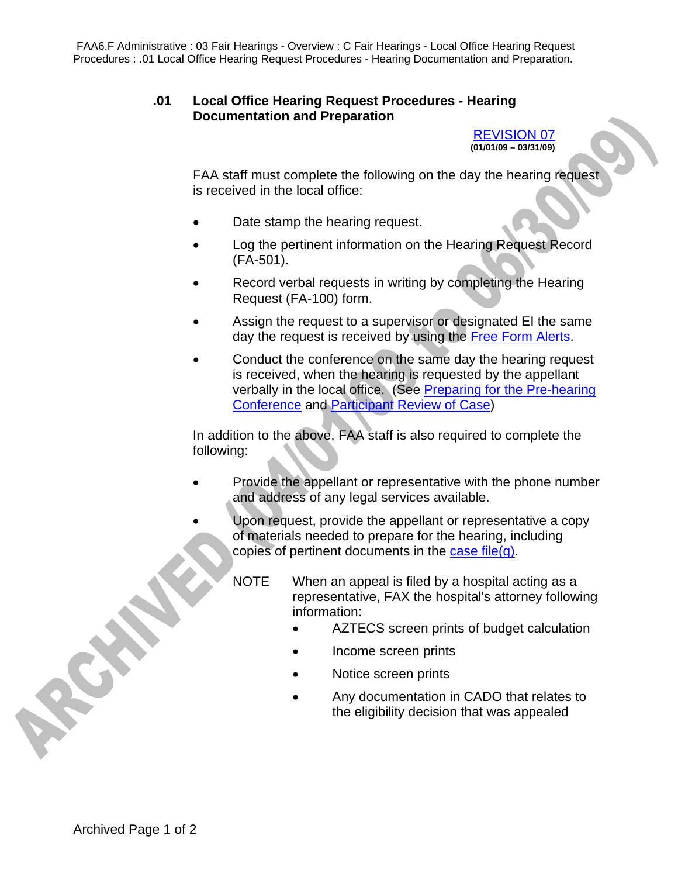FAA6.F Administrative : 03 Fair Hearings - Overview : C Fair Hearings - Local Office Hearing Request Procedures : .01 Local Office Hearing Request Procedures - Hearing Documentation and Preparation.

## **.01 Local Office Hearing Request Procedures - Hearing Documentation and Preparation**

REVISION 07 **(01/01/09 – 03/31/09)** 

FAA staff must complete the following on the day the hearing request is received in the local office:

- Date stamp the hearing request.
- Log the pertinent information on the Hearing Request Record (FA-501).
- Record verbal requests in writing by completing the Hearing Request (FA-100) form.
- Assign the request to a supervisor or designated EI the same day the request is received by using the Free Form Alerts.
- Conduct the conference on the same day the hearing request is received, when the hearing is requested by the appellant verbally in the local office. (See Preparing for the Pre-hearing Conference and Participant Review of Case)

In addition to the above, FAA staff is also required to complete the following:

- Provide the appellant or representative with the phone number and address of any legal services available.
- Upon request, provide the appellant or representative a copy of materials needed to prepare for the hearing, including copies of pertinent documents in the case file $(q)$ .
	- NOTE When an appeal is filed by a hospital acting as a representative, FAX the hospital's attorney following information:
		- AZTECS screen prints of budget calculation
		- Income screen prints
		- Notice screen prints
		- Any documentation in CADO that relates to the eligibility decision that was appealed